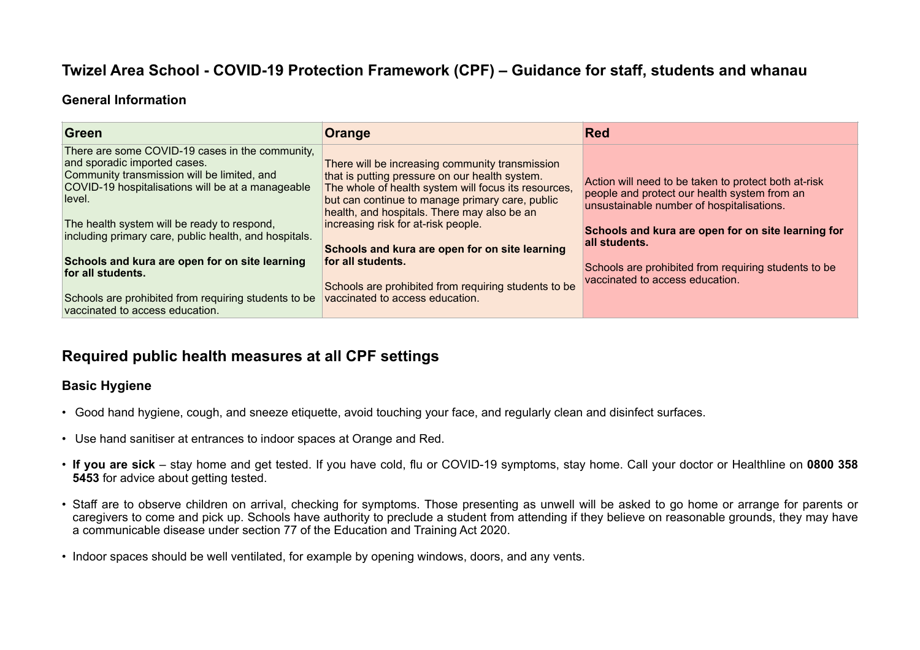# **Twizel Area School - COVID-19 Protection Framework (CPF) – Guidance for staff, students and whanau**

### **General Information**

| There are some COVID-19 cases in the community,<br>and sporadic imported cases.<br>There will be increasing community transmission<br>Community transmission will be limited, and<br>that is putting pressure on our health system.<br>Action will need to be taken to protect both at-risk<br>COVID-19 hospitalisations will be at a manageable<br>The whole of health system will focus its resources,<br>people and protect our health system from an<br>level.<br>but can continue to manage primary care, public<br>unsustainable number of hospitalisations.<br>health, and hospitals. There may also be an<br>increasing risk for at-risk people.<br>The health system will be ready to respond,<br>including primary care, public health, and hospitals.<br>all students. | Green | Orange                                         | <b>Red</b>                                                                                                 |
|-----------------------------------------------------------------------------------------------------------------------------------------------------------------------------------------------------------------------------------------------------------------------------------------------------------------------------------------------------------------------------------------------------------------------------------------------------------------------------------------------------------------------------------------------------------------------------------------------------------------------------------------------------------------------------------------------------------------------------------------------------------------------------------|-------|------------------------------------------------|------------------------------------------------------------------------------------------------------------|
| Schools and kura are open for on site learning<br>for all students.<br>for all students.<br>vaccinated to access education.<br>Schools are prohibited from requiring students to be<br>vaccinated to access education.<br>Schools are prohibited from requiring students to be<br>vaccinated to access education.                                                                                                                                                                                                                                                                                                                                                                                                                                                                 |       | Schools and kura are open for on site learning | Schools and kura are open for on site learning for<br>Schools are prohibited from requiring students to be |

# **Required public health measures at all CPF settings**

## **Basic Hygiene**

- Good hand hygiene, cough, and sneeze etiquette, avoid touching your face, and regularly clean and disinfect surfaces.
- Use hand sanitiser at entrances to indoor spaces at Orange and Red.
- **If you are sick**  stay home and get tested. If you have cold, flu or COVID-19 symptoms, stay home. Call your doctor or Healthline on **0800 358 5453** for advice about getting tested.
- Staff are to observe children on arrival, checking for symptoms. Those presenting as unwell will be asked to go home or arrange for parents or caregivers to come and pick up. Schools have authority to preclude a student from attending if they believe on reasonable grounds, they may have a communicable disease under section 77 of the Education and Training Act 2020.
- Indoor spaces should be well ventilated, for example by opening windows, doors, and any vents.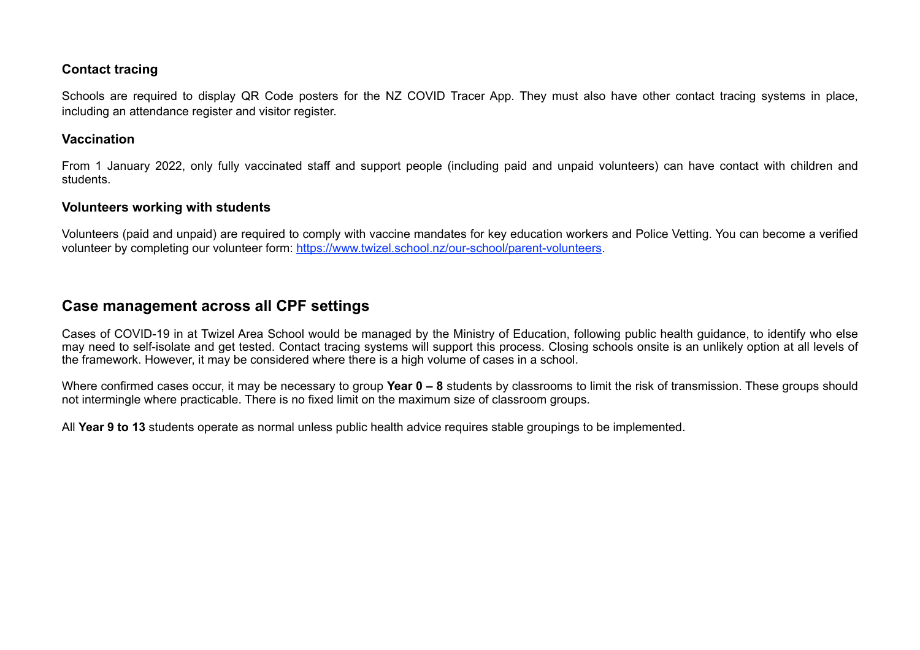### **Contact tracing**

Schools are required to display QR Code posters for the NZ COVID Tracer App. They must also have other contact tracing systems in place, including an attendance register and visitor register.

### **Vaccination**

From 1 January 2022, only fully vaccinated staff and support people (including paid and unpaid volunteers) can have contact with children and students.

### **Volunteers working with students**

Volunteers (paid and unpaid) are required to comply with vaccine mandates for key education workers and Police Vetting. You can become a verified volunteer by completing our volunteer form:<https://www.twizel.school.nz/our-school/parent-volunteers>.

# **Case management across all CPF settings**

Cases of COVID-19 in at Twizel Area School would be managed by the Ministry of Education, following public health guidance, to identify who else may need to self-isolate and get tested. Contact tracing systems will support this process. Closing schools onsite is an unlikely option at all levels of the framework. However, it may be considered where there is a high volume of cases in a school.

Where confirmed cases occur, it may be necessary to group **Year 0 – 8** students by classrooms to limit the risk of transmission. These groups should not intermingle where practicable. There is no fixed limit on the maximum size of classroom groups.

All **Year 9 to 13** students operate as normal unless public health advice requires stable groupings to be implemented.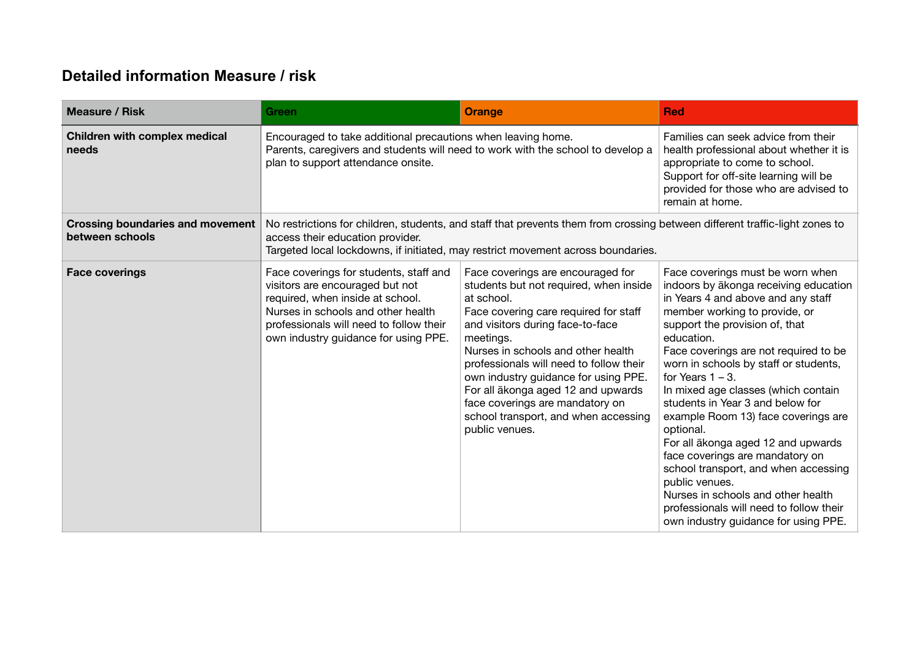# **Detailed information Measure / risk**

| <b>Measure / Risk</b>                                      | Green                                                                                                                                                                                                                                               | <b>Orange</b>                                                                                                                                                                                                                                                                                                                                                                                                                                   | <b>Red</b>                                                                                                                                                                                                                                                                                                                                                                                                                                                                                                                                                                                                                                                                                           |
|------------------------------------------------------------|-----------------------------------------------------------------------------------------------------------------------------------------------------------------------------------------------------------------------------------------------------|-------------------------------------------------------------------------------------------------------------------------------------------------------------------------------------------------------------------------------------------------------------------------------------------------------------------------------------------------------------------------------------------------------------------------------------------------|------------------------------------------------------------------------------------------------------------------------------------------------------------------------------------------------------------------------------------------------------------------------------------------------------------------------------------------------------------------------------------------------------------------------------------------------------------------------------------------------------------------------------------------------------------------------------------------------------------------------------------------------------------------------------------------------------|
| Children with complex medical<br>needs                     | Encouraged to take additional precautions when leaving home.<br>Parents, caregivers and students will need to work with the school to develop a<br>plan to support attendance onsite.                                                               |                                                                                                                                                                                                                                                                                                                                                                                                                                                 | Families can seek advice from their<br>health professional about whether it is<br>appropriate to come to school.<br>Support for off-site learning will be<br>provided for those who are advised to<br>remain at home.                                                                                                                                                                                                                                                                                                                                                                                                                                                                                |
| <b>Crossing boundaries and movement</b><br>between schools | No restrictions for children, students, and staff that prevents them from crossing between different traffic-light zones to<br>access their education provider.<br>Targeted local lockdowns, if initiated, may restrict movement across boundaries. |                                                                                                                                                                                                                                                                                                                                                                                                                                                 |                                                                                                                                                                                                                                                                                                                                                                                                                                                                                                                                                                                                                                                                                                      |
| <b>Face coverings</b>                                      | Face coverings for students, staff and<br>visitors are encouraged but not<br>required, when inside at school.<br>Nurses in schools and other health<br>professionals will need to follow their<br>own industry guidance for using PPE.              | Face coverings are encouraged for<br>students but not required, when inside<br>at school.<br>Face covering care required for staff<br>and visitors during face-to-face<br>meetings.<br>Nurses in schools and other health<br>professionals will need to follow their<br>own industry guidance for using PPE.<br>For all ākonga aged 12 and upwards<br>face coverings are mandatory on<br>school transport, and when accessing<br>public venues. | Face coverings must be worn when<br>indoors by akonga receiving education<br>in Years 4 and above and any staff<br>member working to provide, or<br>support the provision of, that<br>education.<br>Face coverings are not required to be<br>worn in schools by staff or students,<br>for Years $1 - 3$ .<br>In mixed age classes (which contain<br>students in Year 3 and below for<br>example Room 13) face coverings are<br>optional.<br>For all akonga aged 12 and upwards<br>face coverings are mandatory on<br>school transport, and when accessing<br>public venues.<br>Nurses in schools and other health<br>professionals will need to follow their<br>own industry guidance for using PPE. |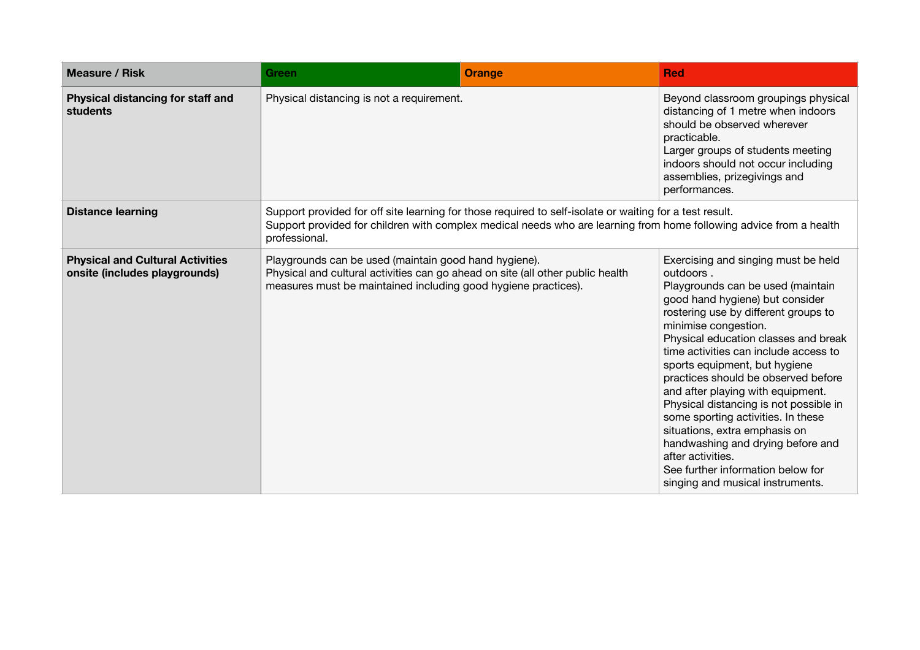| <b>Measure / Risk</b>                                                    | <b>Green</b>                                                                                                                                                                                                                                   | <b>Orange</b> | <b>Red</b>                                                                                                                                                                                                                                                                                                                                                                                                                                                                                                                                                                                                                                 |
|--------------------------------------------------------------------------|------------------------------------------------------------------------------------------------------------------------------------------------------------------------------------------------------------------------------------------------|---------------|--------------------------------------------------------------------------------------------------------------------------------------------------------------------------------------------------------------------------------------------------------------------------------------------------------------------------------------------------------------------------------------------------------------------------------------------------------------------------------------------------------------------------------------------------------------------------------------------------------------------------------------------|
| Physical distancing for staff and<br>students                            | Physical distancing is not a requirement.                                                                                                                                                                                                      |               | Beyond classroom groupings physical<br>distancing of 1 metre when indoors<br>should be observed wherever<br>practicable.<br>Larger groups of students meeting<br>indoors should not occur including<br>assemblies, prizegivings and<br>performances.                                                                                                                                                                                                                                                                                                                                                                                       |
| <b>Distance learning</b>                                                 | Support provided for off site learning for those required to self-isolate or waiting for a test result.<br>Support provided for children with complex medical needs who are learning from home following advice from a health<br>professional. |               |                                                                                                                                                                                                                                                                                                                                                                                                                                                                                                                                                                                                                                            |
| <b>Physical and Cultural Activities</b><br>onsite (includes playgrounds) | Playgrounds can be used (maintain good hand hygiene).<br>Physical and cultural activities can go ahead on site (all other public health<br>measures must be maintained including good hygiene practices).                                      |               | Exercising and singing must be held<br>outdoors.<br>Playgrounds can be used (maintain<br>good hand hygiene) but consider<br>rostering use by different groups to<br>minimise congestion.<br>Physical education classes and break<br>time activities can include access to<br>sports equipment, but hygiene<br>practices should be observed before<br>and after playing with equipment.<br>Physical distancing is not possible in<br>some sporting activities. In these<br>situations, extra emphasis on<br>handwashing and drying before and<br>after activities.<br>See further information below for<br>singing and musical instruments. |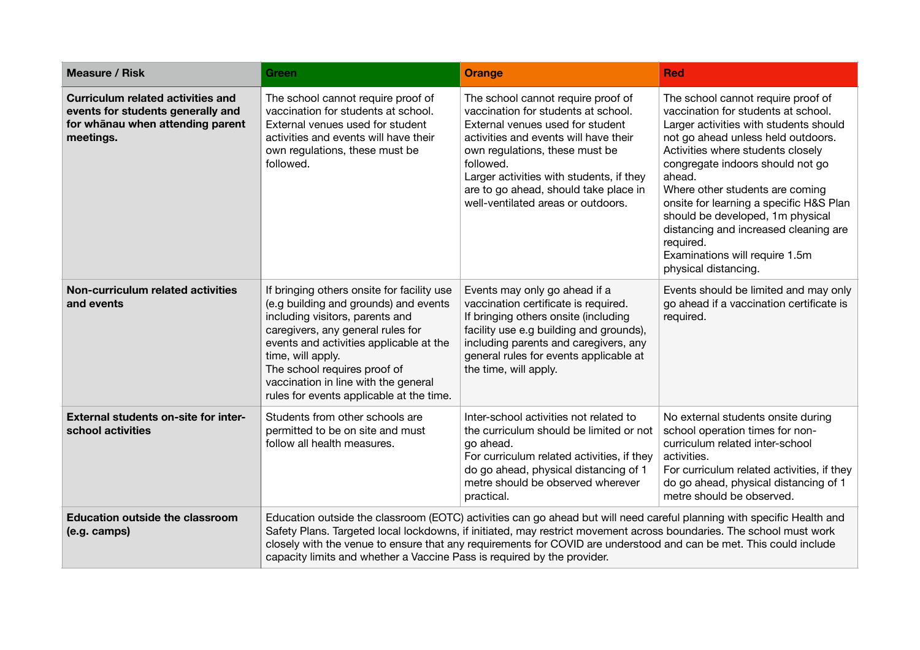| <b>Measure / Risk</b>                                                                                                          | <b>Green</b>                                                                                                                                                                                                                                                                                                                                                                                                                                   | <b>Orange</b>                                                                                                                                                                                                                                                                                                                    | <b>Red</b>                                                                                                                                                                                                                                                                                                                                                                                                                                                                     |
|--------------------------------------------------------------------------------------------------------------------------------|------------------------------------------------------------------------------------------------------------------------------------------------------------------------------------------------------------------------------------------------------------------------------------------------------------------------------------------------------------------------------------------------------------------------------------------------|----------------------------------------------------------------------------------------------------------------------------------------------------------------------------------------------------------------------------------------------------------------------------------------------------------------------------------|--------------------------------------------------------------------------------------------------------------------------------------------------------------------------------------------------------------------------------------------------------------------------------------------------------------------------------------------------------------------------------------------------------------------------------------------------------------------------------|
| <b>Curriculum related activities and</b><br>events for students generally and<br>for whanau when attending parent<br>meetings. | The school cannot require proof of<br>vaccination for students at school.<br>External venues used for student<br>activities and events will have their<br>own regulations, these must be<br>followed.                                                                                                                                                                                                                                          | The school cannot require proof of<br>vaccination for students at school.<br>External venues used for student<br>activities and events will have their<br>own regulations, these must be<br>followed.<br>Larger activities with students, if they<br>are to go ahead, should take place in<br>well-ventilated areas or outdoors. | The school cannot require proof of<br>vaccination for students at school.<br>Larger activities with students should<br>not go ahead unless held outdoors.<br>Activities where students closely<br>congregate indoors should not go<br>ahead.<br>Where other students are coming<br>onsite for learning a specific H&S Plan<br>should be developed, 1m physical<br>distancing and increased cleaning are<br>required.<br>Examinations will require 1.5m<br>physical distancing. |
| Non-curriculum related activities<br>and events                                                                                | If bringing others onsite for facility use<br>(e.g building and grounds) and events<br>including visitors, parents and<br>caregivers, any general rules for<br>events and activities applicable at the<br>time, will apply.<br>The school requires proof of<br>vaccination in line with the general<br>rules for events applicable at the time.                                                                                                | Events may only go ahead if a<br>vaccination certificate is required.<br>If bringing others onsite (including<br>facility use e.g building and grounds),<br>including parents and caregivers, any<br>general rules for events applicable at<br>the time, will apply.                                                             | Events should be limited and may only<br>go ahead if a vaccination certificate is<br>required.                                                                                                                                                                                                                                                                                                                                                                                 |
| <b>External students on-site for inter-</b><br>school activities                                                               | Students from other schools are<br>permitted to be on site and must<br>follow all health measures.                                                                                                                                                                                                                                                                                                                                             | Inter-school activities not related to<br>the curriculum should be limited or not<br>go ahead.<br>For curriculum related activities, if they<br>do go ahead, physical distancing of 1<br>metre should be observed wherever<br>practical.                                                                                         | No external students onsite during<br>school operation times for non-<br>curriculum related inter-school<br>activities.<br>For curriculum related activities, if they<br>do go ahead, physical distancing of 1<br>metre should be observed.                                                                                                                                                                                                                                    |
| <b>Education outside the classroom</b><br>(e.g. camps)                                                                         | Education outside the classroom (EOTC) activities can go ahead but will need careful planning with specific Health and<br>Safety Plans. Targeted local lockdowns, if initiated, may restrict movement across boundaries. The school must work<br>closely with the venue to ensure that any requirements for COVID are understood and can be met. This could include<br>capacity limits and whether a Vaccine Pass is required by the provider. |                                                                                                                                                                                                                                                                                                                                  |                                                                                                                                                                                                                                                                                                                                                                                                                                                                                |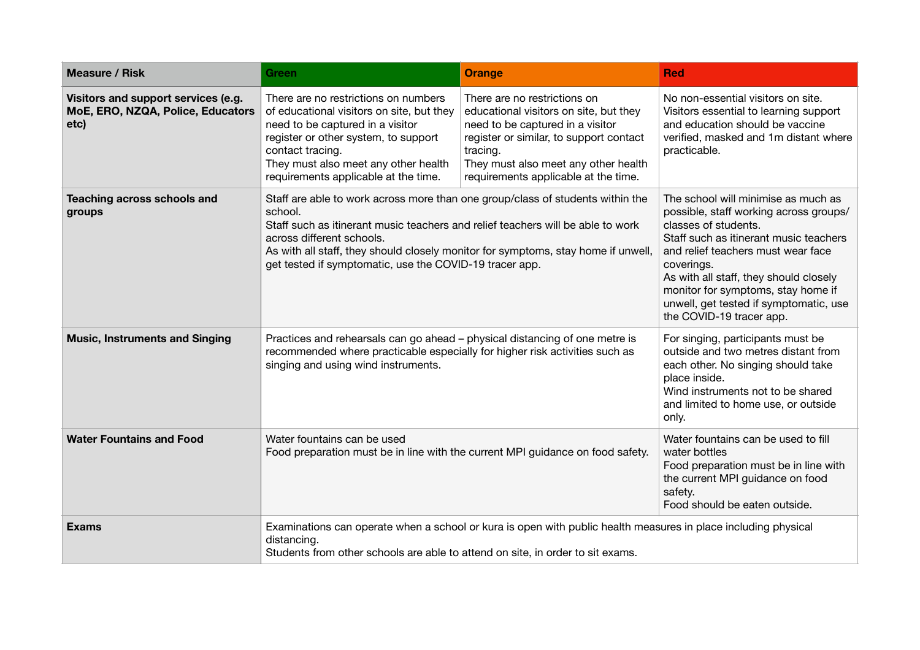| <b>Measure / Risk</b>                                                            | <b>Green</b>                                                                                                                                                                                                                                                                                                                                              | <b>Orange</b>                                                                                                                                                                                                                                     | <b>Red</b>                                                                                                                                                                                                                                                                                                                                                |
|----------------------------------------------------------------------------------|-----------------------------------------------------------------------------------------------------------------------------------------------------------------------------------------------------------------------------------------------------------------------------------------------------------------------------------------------------------|---------------------------------------------------------------------------------------------------------------------------------------------------------------------------------------------------------------------------------------------------|-----------------------------------------------------------------------------------------------------------------------------------------------------------------------------------------------------------------------------------------------------------------------------------------------------------------------------------------------------------|
| Visitors and support services (e.g.<br>MoE, ERO, NZQA, Police, Educators<br>etc) | There are no restrictions on numbers<br>of educational visitors on site, but they<br>need to be captured in a visitor<br>register or other system, to support<br>contact tracing.<br>They must also meet any other health<br>requirements applicable at the time.                                                                                         | There are no restrictions on<br>educational visitors on site, but they<br>need to be captured in a visitor<br>register or similar, to support contact<br>tracing.<br>They must also meet any other health<br>requirements applicable at the time. | No non-essential visitors on site.<br>Visitors essential to learning support<br>and education should be vaccine<br>verified, masked and 1m distant where<br>practicable.                                                                                                                                                                                  |
| Teaching across schools and<br>groups                                            | Staff are able to work across more than one group/class of students within the<br>school.<br>Staff such as itinerant music teachers and relief teachers will be able to work<br>across different schools.<br>As with all staff, they should closely monitor for symptoms, stay home if unwell,<br>get tested if symptomatic, use the COVID-19 tracer app. |                                                                                                                                                                                                                                                   | The school will minimise as much as<br>possible, staff working across groups/<br>classes of students.<br>Staff such as itinerant music teachers<br>and relief teachers must wear face<br>coverings.<br>As with all staff, they should closely<br>monitor for symptoms, stay home if<br>unwell, get tested if symptomatic, use<br>the COVID-19 tracer app. |
| <b>Music, Instruments and Singing</b>                                            | Practices and rehearsals can go ahead - physical distancing of one metre is<br>recommended where practicable especially for higher risk activities such as<br>singing and using wind instruments.                                                                                                                                                         |                                                                                                                                                                                                                                                   | For singing, participants must be<br>outside and two metres distant from<br>each other. No singing should take<br>place inside.<br>Wind instruments not to be shared<br>and limited to home use, or outside<br>only.                                                                                                                                      |
| <b>Water Fountains and Food</b>                                                  | Water fountains can be used<br>Food preparation must be in line with the current MPI guidance on food safety.                                                                                                                                                                                                                                             |                                                                                                                                                                                                                                                   | Water fountains can be used to fill<br>water bottles<br>Food preparation must be in line with<br>the current MPI guidance on food<br>safety.<br>Food should be eaten outside.                                                                                                                                                                             |
| <b>Exams</b>                                                                     | Examinations can operate when a school or kura is open with public health measures in place including physical<br>distancing.<br>Students from other schools are able to attend on site, in order to sit exams.                                                                                                                                           |                                                                                                                                                                                                                                                   |                                                                                                                                                                                                                                                                                                                                                           |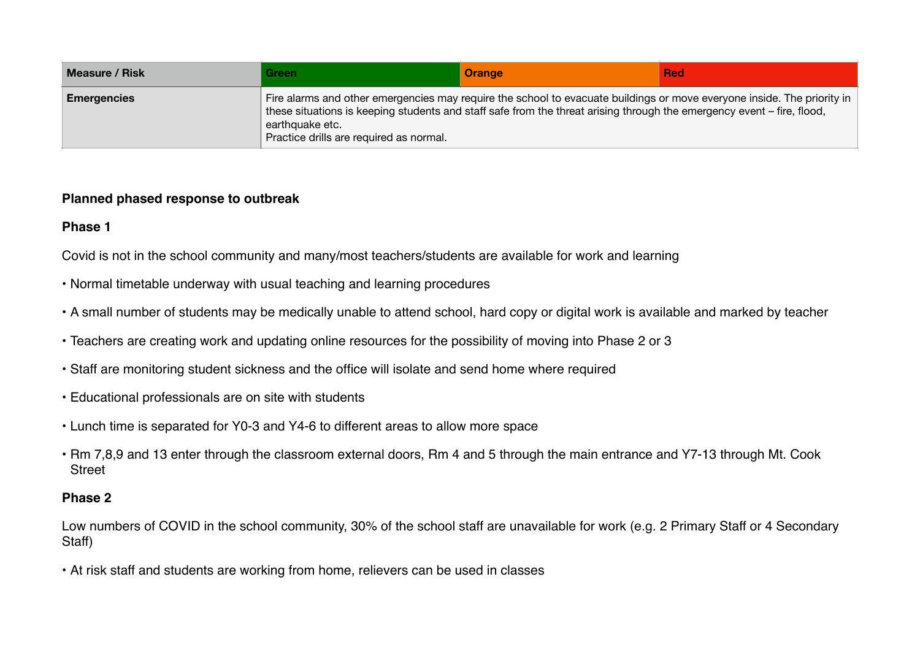| <b>Measure / Risk</b> | Green                                                                                                                                                                                                                                                                                                           | <b>Orange</b> | <b>Red</b> |
|-----------------------|-----------------------------------------------------------------------------------------------------------------------------------------------------------------------------------------------------------------------------------------------------------------------------------------------------------------|---------------|------------|
| <b>Emergencies</b>    | Fire alarms and other emergencies may require the school to evacuate buildings or move everyone inside. The priority in<br>these situations is keeping students and staff safe from the threat arising through the emergency event – fire, flood,<br>earthquake etc.<br>Practice drills are required as normal. |               |            |

### **Planned phased response to outbreak**

## **Phase 1**

Covid is not in the school community and many/most teachers/students are available for work and learning

- Normal timetable underway with usual teaching and learning procedures
- A small number of students may be medically unable to attend school, hard copy or digital work is available and marked by teacher
- Teachers are creating work and updating online resources for the possibility of moving into Phase 2 or 3
- Staff are monitoring student sickness and the office will isolate and send home where required
- Educational professionals are on site with students
- Lunch time is separated for Y0-3 and Y4-6 to different areas to allow more space
- Rm 7,8,9 and 13 enter through the classroom external doors, Rm 4 and 5 through the main entrance and Y7-13 through Mt. Cook **Street**

## **Phase 2**

Low numbers of COVID in the school community, 30% of the school staff are unavailable for work (e.g. 2 Primary Staff or 4 Secondary Staff)

• At risk staff and students are working from home, relievers can be used in classes